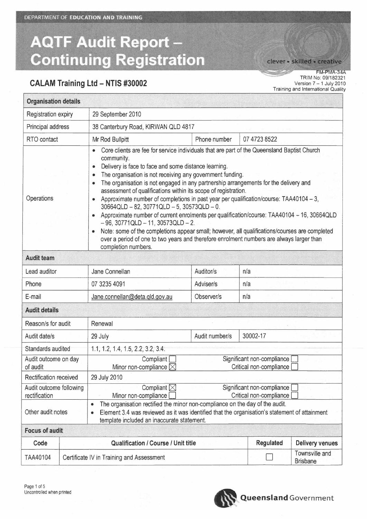DEPARTMENT OF EDUCATION AND TRAINING

# **AQTF Audit Report -Continuing Registration**

**CALAM Training Ltd - NTIS #30002**

clever · skilled · creative

FM-PMA-34A TRIM No: 09/182321 Version 7 - 1 July 2010 Training and International Quality

| <b>Organisation details</b>                                                                                                                                                                                                                                   |                                                         |                                                                                                                                                                                                                                                                                                                                                                                                                                                                                                                                                                                                                                                                                                                                                                                                                                                                                                                                                         |                |                                   |                        |  |
|---------------------------------------------------------------------------------------------------------------------------------------------------------------------------------------------------------------------------------------------------------------|---------------------------------------------------------|---------------------------------------------------------------------------------------------------------------------------------------------------------------------------------------------------------------------------------------------------------------------------------------------------------------------------------------------------------------------------------------------------------------------------------------------------------------------------------------------------------------------------------------------------------------------------------------------------------------------------------------------------------------------------------------------------------------------------------------------------------------------------------------------------------------------------------------------------------------------------------------------------------------------------------------------------------|----------------|-----------------------------------|------------------------|--|
| <b>Registration expiry</b>                                                                                                                                                                                                                                    |                                                         | 29 September 2010                                                                                                                                                                                                                                                                                                                                                                                                                                                                                                                                                                                                                                                                                                                                                                                                                                                                                                                                       |                |                                   |                        |  |
| Principal address                                                                                                                                                                                                                                             |                                                         | 38 Canterbury Road, KIRWAN QLD 4817                                                                                                                                                                                                                                                                                                                                                                                                                                                                                                                                                                                                                                                                                                                                                                                                                                                                                                                     |                |                                   |                        |  |
| RTO contact                                                                                                                                                                                                                                                   |                                                         | Mr Rod Bullpitt                                                                                                                                                                                                                                                                                                                                                                                                                                                                                                                                                                                                                                                                                                                                                                                                                                                                                                                                         | Phone number   | 07 4723 8522                      |                        |  |
| Operations                                                                                                                                                                                                                                                    |                                                         | Core clients are fee for service individuals that are part of the Queensland Baptist Church<br>$\bullet$<br>community.<br>Delivery is face to face and some distance learning.<br>$\bullet$<br>The organisation is not receiving any government funding.<br>$\bullet$<br>The organisation is not engaged in any partnership arrangements for the delivery and<br>۰<br>assessment of qualifications within its scope of registration.<br>Approximate number of completions in past year per qualification/course: TAA40104 - 3,<br>$\bullet$<br>30664QLD - 82, 30771QLD - 5, 30573QLD - 0.<br>Approximate number of current enrolments per qualification/course: TAA40104 - 16, 30664QLD<br>$-96$ , 30771QLD $-11$ , 30573QLD $-2$ .<br>Note: some of the completions appear small; however, all qualifications/courses are completed<br>over a period of one to two years and therefore enrolment numbers are always larger than<br>completion numbers. |                |                                   |                        |  |
| <b>Audit team</b>                                                                                                                                                                                                                                             |                                                         |                                                                                                                                                                                                                                                                                                                                                                                                                                                                                                                                                                                                                                                                                                                                                                                                                                                                                                                                                         |                |                                   |                        |  |
| Lead auditor                                                                                                                                                                                                                                                  |                                                         | Jane Connellan                                                                                                                                                                                                                                                                                                                                                                                                                                                                                                                                                                                                                                                                                                                                                                                                                                                                                                                                          | Auditor/s      | n/a                               |                        |  |
| Phone                                                                                                                                                                                                                                                         |                                                         | 07 3235 4091                                                                                                                                                                                                                                                                                                                                                                                                                                                                                                                                                                                                                                                                                                                                                                                                                                                                                                                                            | Adviser/s      | n/a                               |                        |  |
| E-mail                                                                                                                                                                                                                                                        |                                                         | Jane.connellan@deta.qld.gov.au                                                                                                                                                                                                                                                                                                                                                                                                                                                                                                                                                                                                                                                                                                                                                                                                                                                                                                                          | Observer/s     | n/a                               |                        |  |
| <b>Audit details</b>                                                                                                                                                                                                                                          |                                                         |                                                                                                                                                                                                                                                                                                                                                                                                                                                                                                                                                                                                                                                                                                                                                                                                                                                                                                                                                         |                |                                   |                        |  |
| Reason/s for audit                                                                                                                                                                                                                                            |                                                         | Renewal                                                                                                                                                                                                                                                                                                                                                                                                                                                                                                                                                                                                                                                                                                                                                                                                                                                                                                                                                 |                |                                   |                        |  |
| Audit date/s                                                                                                                                                                                                                                                  |                                                         | 29 July                                                                                                                                                                                                                                                                                                                                                                                                                                                                                                                                                                                                                                                                                                                                                                                                                                                                                                                                                 | Audit number/s | 30002-17                          |                        |  |
|                                                                                                                                                                                                                                                               | Standards audited<br>1.1, 1.2, 1.4, 1.5, 2.2, 3.2, 3.4. |                                                                                                                                                                                                                                                                                                                                                                                                                                                                                                                                                                                                                                                                                                                                                                                                                                                                                                                                                         |                |                                   |                        |  |
| Audit outcome on day<br>of audit                                                                                                                                                                                                                              |                                                         | Significant non-compliance<br>Compliant [<br>Critical non-compliance<br>Minor non-compliance $\boxtimes$                                                                                                                                                                                                                                                                                                                                                                                                                                                                                                                                                                                                                                                                                                                                                                                                                                                |                |                                   |                        |  |
| <b>Rectification received</b>                                                                                                                                                                                                                                 |                                                         | 29 July 2010                                                                                                                                                                                                                                                                                                                                                                                                                                                                                                                                                                                                                                                                                                                                                                                                                                                                                                                                            |                |                                   |                        |  |
| Audit outcome following<br>rectification                                                                                                                                                                                                                      |                                                         | Compliant $\boxtimes$<br>Significant non-compliance<br>Critical non-compliance<br>Minor non-compliance                                                                                                                                                                                                                                                                                                                                                                                                                                                                                                                                                                                                                                                                                                                                                                                                                                                  |                |                                   |                        |  |
| The organisation rectified the minor non-compliance on the day of the audit.<br>$\bullet$<br>Other audit notes<br>Element 3.4 was reviewed as it was identified that the organisation's statement of attainment<br>template included an inaccurate statement. |                                                         |                                                                                                                                                                                                                                                                                                                                                                                                                                                                                                                                                                                                                                                                                                                                                                                                                                                                                                                                                         |                |                                   |                        |  |
| <b>Focus of audit</b>                                                                                                                                                                                                                                         |                                                         |                                                                                                                                                                                                                                                                                                                                                                                                                                                                                                                                                                                                                                                                                                                                                                                                                                                                                                                                                         |                |                                   |                        |  |
| Code                                                                                                                                                                                                                                                          |                                                         | <b>Qualification / Course / Unit title</b>                                                                                                                                                                                                                                                                                                                                                                                                                                                                                                                                                                                                                                                                                                                                                                                                                                                                                                              |                | <b>Regulated</b>                  | <b>Delivery venues</b> |  |
| TAA40104                                                                                                                                                                                                                                                      | Certificate IV in Training and Assessment               |                                                                                                                                                                                                                                                                                                                                                                                                                                                                                                                                                                                                                                                                                                                                                                                                                                                                                                                                                         |                | Townsville and<br><b>Brisbane</b> |                        |  |

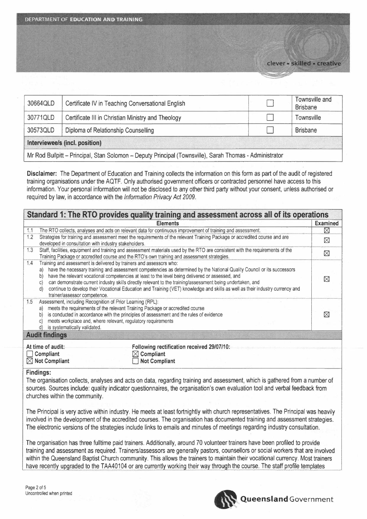| 30664QLD                                                                                                  | Certificate IV in Teaching Conversational English  |  | Townsville and<br><b>Brisbane</b> |  |
|-----------------------------------------------------------------------------------------------------------|----------------------------------------------------|--|-----------------------------------|--|
| 30771QLD                                                                                                  | Certificate III in Christian Ministry and Theology |  | Townsville                        |  |
| 30573QLD                                                                                                  | Diploma of Relationship Counselling                |  | <b>Brisbane</b>                   |  |
| Interviewee/s (incl. position)                                                                            |                                                    |  |                                   |  |
| Mr Rod Bullpitt -- Principal, Stan Solomon -- Deputy Principal (Townsville), Sarah Thomas - Administrator |                                                    |  |                                   |  |

Disclaimer: The Department of Education and Training collects the information on this form as part of the audit of registered training organisations under the AQTF. Only authorised government officers or contracted personnel have access to this information. Your personal information will not be disclosed to any other third party without your consent, unless authorised or required by law, in accordance with the Information Privacy Act 2009.

| Standard 1: The RTO provides quality training and assessment across all of its operations                                                                                                                                                                                                                                                                                                                                                                                                                                                                                                                             |                 |  |  |  |
|-----------------------------------------------------------------------------------------------------------------------------------------------------------------------------------------------------------------------------------------------------------------------------------------------------------------------------------------------------------------------------------------------------------------------------------------------------------------------------------------------------------------------------------------------------------------------------------------------------------------------|-----------------|--|--|--|
| <b>Elements</b>                                                                                                                                                                                                                                                                                                                                                                                                                                                                                                                                                                                                       | <b>Examined</b> |  |  |  |
| The RTO collects, analyses and acts on relevant data for continuous improvement of training and assessment.<br>1.1                                                                                                                                                                                                                                                                                                                                                                                                                                                                                                    | $\boxtimes$     |  |  |  |
| 1.2<br>Strategies for training and assessment meet the requirements of the relevant Training Package or accredited course and are<br>developed in consultation with industry stakeholders.                                                                                                                                                                                                                                                                                                                                                                                                                            |                 |  |  |  |
| 1.3<br>Staff, facilities, equipment and training and assessment materials used by the RTO are consistent with the requirements of the<br>Training Package or accredited course and the RTO's own training and assessment strategies.                                                                                                                                                                                                                                                                                                                                                                                  |                 |  |  |  |
| 1.4<br>Training and assessment is delivered by trainers and assessors who:<br>have the necessary training and assessment competencies as determined by the National Quality Council or its successors<br>a)<br>have the relevant vocational competencies at least to the level being delivered or assessed, and<br>b)<br>can demonstrate current industry skills directly relevant to the training/assessment being undertaken, and<br>$\circ$<br>continue to develop their Vocational Education and Training (VET) knowledge and skills as well as their industry currency and<br>d)<br>trainer/assessor competence. |                 |  |  |  |
| 1.5<br>Assessment, including Recognition of Prior Learning (RPL):<br>meets the requirements of the relevant Training Package or accredited course<br>a)<br>is conducted in accordance with the principles of assessment and the rules of evidence<br>b)<br>meets workplace and, where relevant, regulatory requirements<br>is systematically validated.                                                                                                                                                                                                                                                               |                 |  |  |  |
| <b>Audit findings</b>                                                                                                                                                                                                                                                                                                                                                                                                                                                                                                                                                                                                 |                 |  |  |  |
| At time of audit:<br>Following rectification received 29/07/10:<br>$\times$ Compliant<br>Compliant<br>$\boxtimes$ Not Compliant<br><b>Not Compliant</b>                                                                                                                                                                                                                                                                                                                                                                                                                                                               |                 |  |  |  |

## Findings:

The organisation collects, analyses and acts on data, regarding training and assessment, which is gathered from a number of sources. Sources include: quality indicator questionnaires, the organisation's own evaluation tool and verbal feedback from churches within the community.

The Principal is very active within industry. He meets at least fortnightly with church representatives. The Principal was heavily involved in the development of the accredited courses. The organisation has documented training and assessment strategies. The electronic versions of the strategies include links to emails and minutes of meetings regarding industry consultation.

The organisation has three fulltime paid trainers. Additionally, around 70 volunteer trainers have been profiled to provide training and assessment as required. Trainers/assessors are generally pastors, counsellors or social workers that are involved within the Queensland Baptist Church community. This allows the trainers to maintain their vocational currency. Most trainers have recently upgraded to the TAA40104 or are currently working their way through the course. The staff profile templates

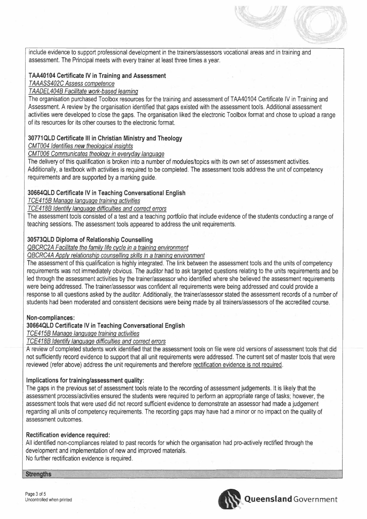include evidence to support professional development in the trainers/assessors vocational areas and in training and assessment. The Principal meets with every trainer at least three times a year.

# T**AA401 04 Certificate IV in Training and Assessment**

## *TAAASS402C Assess competence*

# *TAADEL4048 Facilitate work-based learning*

The organisation purchased Toolbox resources for the training and assessment of TAA40104 Certificate IV in Training and Assessment. A review by the organisation identified that gaps existed with the assessment tools. Additional assessment activities were developed to close the gaps. The organisation liked the electronic Toolbox format and chose to upload a range of its resources for its other courses to the electronic format.

# **30771QLD Certificate III in Christian Ministry and Theology**

*CMT004 Identifies new theological insights*

# *CMT006 Communicates theologv in everyday language*

The delivery of this qualification is broken into a number of modules/topics with its own set of assessment activities. Additionally, a textbook with activities is required to be completed. The assessment tools address the unit of competency requirements and are supported by a marking guide.

# **30664QLD Certificate IV in Teaching Conversational English**

*TCE4158 Manage language training activities*

# *TCE4188 Identify language difficulties and correct errors*

The assessment tools consisted of a test and a teaching portfolio that include evidence of the students conducting a range of teaching sessions. The assessment tools appeared to address the unit requirements.

# **30573QLD Diploma of Relationship Counselling**

*Q8CRC2A Facilitate the familv life cvcle in* a *training environment*

*Q8CRC4A Applv relationship counselling skills in* a *training environment*

The assessment of this qualification is highly integrated. The link between the assessment tools and the units of competency requirements was not immediately obvious. The auditor had to ask targeted questions relating to the units requirements and be led through the assessment activities by the trainer/assessor who identified where she believed the assessment requirements were being addressed. The trainer/assessor was confident all requirements were being addressed and could provide a response to all questions asked by the auditor. Additionally, the trainer/assessor stated the assessment records of a number of students had been moderated and consistent decisions were being made by all trainers/assessors of the accredited course.

## **Non-compliances:**

# **30664QLD Certificate IV in Teaching Conversational English**

*TCE4158 Manage language training activities*

# *TCE4188 Identify language difficulties and correct errors*

A review of completed students work identified that the assessment tools on file were old versions of assessment tools that did not sufficiently record evidence to support that all unit requirements were addressed. The current set of master tools that were reviewed (refer above) address the unit requirements and therefore rectification evidence is not required.

## **Implications for training/assessment quality:**

The gaps in the previous set of assessment tools relate to the recording of assessment judgements. It is likely that the assessment process/activities ensured the students were required to perform an appropriate range of tasks; however, the assessment tools that were used did not record sufficient evidence to demonstrate an assessor had made a judgement regarding all units of competency requirements. The recording gaps may have had a minor or no impact on the quality of assessment outcomes.

#### **Rectification evidence required:**

All identified non-compliances related to past records for which the organisation had pro-actively rectified through the development and implementation of new and improved materials. No further rectification evidence is required.

 $\blacksquare$ 

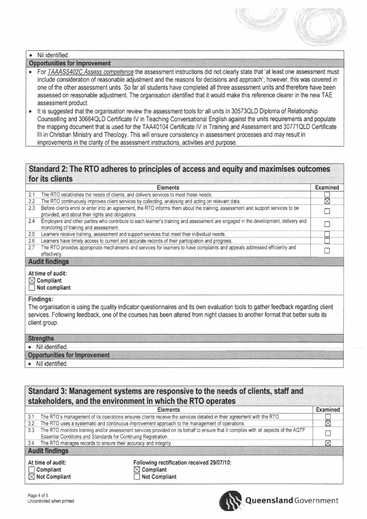# · Nil identified.

#### **Opportunities for Improvement**

- For TAAASS402C Assess competence the assessment instructions did not clearly state that 'at least one assessment must include consideration of reasonable adjustment and the reasons for decisions and approach'; however, this was covered in one of the other assessment units. So far all students have completed all three assessment units and therefore have been assessed on reasonable adjustment. The organisation identified that it would make this reference clearer in the new TAE assessment product.
- It is suggested that the organisation review the assessment tools for all units in 30573QLD Diploma of Relationship  $\bullet$ Counselling and 30664QLD Certificate IV in Teaching Conversational English against the units requirements and populate the mapping document that is used for the TAA40104 Certificate IV in Training and Assessment and 30771QLD Certificate III in Christian Ministry and Theology. This will ensure consistency in assessment processes and may result in improvements in the clarity of the assessment instructions, activities and purpose.

# Standard 2: The RTO adheres to principles of access and equity and maximises outcomes for its clients

|                                                                                                                                                                                                                                                                                                      | <b>Elements</b>                                                                                                                                                                      | <b>Examined</b>        |  |  |
|------------------------------------------------------------------------------------------------------------------------------------------------------------------------------------------------------------------------------------------------------------------------------------------------------|--------------------------------------------------------------------------------------------------------------------------------------------------------------------------------------|------------------------|--|--|
| 2.1                                                                                                                                                                                                                                                                                                  | The RTO establishes the needs of clients, and delivers services to meet these needs.                                                                                                 |                        |  |  |
| 2.2                                                                                                                                                                                                                                                                                                  | The RTO continuously improves client services by collecting, analysing and acting on relevant data.                                                                                  | $\overline{\boxtimes}$ |  |  |
| 2.3                                                                                                                                                                                                                                                                                                  | Before clients enrol or enter into an agreement, the RTO informs them about the training, assessment and support services to be<br>provided, and about their rights and obligations. |                        |  |  |
| 2.4                                                                                                                                                                                                                                                                                                  | Employers and other parties who contribute to each learner's training and assessment are engaged in the development, delivery and<br>monitoring of training and assessment.          |                        |  |  |
| 2.5                                                                                                                                                                                                                                                                                                  | Learners receive training, assessment and support services that meet their individual needs.                                                                                         |                        |  |  |
| 2.6                                                                                                                                                                                                                                                                                                  | Learners have timely access to current and accurate records of their participation and progress.                                                                                     |                        |  |  |
| 2.7                                                                                                                                                                                                                                                                                                  | The RTO provides appropriate mechanisms and services for learners to have complaints and appeals addressed efficiently and<br>effectively.                                           |                        |  |  |
| <b>Audit findings</b>                                                                                                                                                                                                                                                                                |                                                                                                                                                                                      |                        |  |  |
| At time of audit:<br>$\boxtimes$ Compliant<br>Not compliant                                                                                                                                                                                                                                          |                                                                                                                                                                                      |                        |  |  |
| <b>Findings:</b><br>The organisation is using the quality indicator questionnaires and its own evaluation tools to gather feedback regarding client<br>services. Following feedback, one of the courses has been altered from night classes to another format that better suits its<br>client group. |                                                                                                                                                                                      |                        |  |  |
|                                                                                                                                                                                                                                                                                                      | <b>Strengths</b>                                                                                                                                                                     |                        |  |  |
|                                                                                                                                                                                                                                                                                                      | • Nil identified.                                                                                                                                                                    |                        |  |  |
|                                                                                                                                                                                                                                                                                                      | <b>Opportunities for Improvement</b>                                                                                                                                                 |                        |  |  |
|                                                                                                                                                                                                                                                                                                      | Nil identified.                                                                                                                                                                      |                        |  |  |

|                                                             | Standard 3: Management systems are responsive to the needs of clients, staff and<br>stakeholders, and the environment in which the RTO operates                                                        |                                                                                                                       |          |  |  |
|-------------------------------------------------------------|--------------------------------------------------------------------------------------------------------------------------------------------------------------------------------------------------------|-----------------------------------------------------------------------------------------------------------------------|----------|--|--|
|                                                             |                                                                                                                                                                                                        | <b>Elements</b>                                                                                                       | Examined |  |  |
| 3.1                                                         |                                                                                                                                                                                                        | The RTO's management of its operations ensures clients receive the services detailed in their agreement with the RTO. |          |  |  |
| 3.2                                                         | The RTO uses a systematic and continuous improvement approach to the management of operations.                                                                                                         |                                                                                                                       | ⊠        |  |  |
| 3.3                                                         | The RTO monitors training and/or assessment services provided on its behalf to ensure that it complies with all aspects of the AQTF<br>Essential Conditions and Standards for Continuing Registration. |                                                                                                                       |          |  |  |
|                                                             | 3.4 The RTO manages records to ensure their accuracy and integrity.                                                                                                                                    |                                                                                                                       | ⋈        |  |  |
|                                                             | <b>Audit findings</b>                                                                                                                                                                                  |                                                                                                                       |          |  |  |
| At time of audit:<br>Compliant<br>$\boxtimes$ Not Compliant |                                                                                                                                                                                                        | Following rectification received 29/07/10:<br>$\boxtimes$ Compliant<br><b>Not Compliant</b>                           |          |  |  |